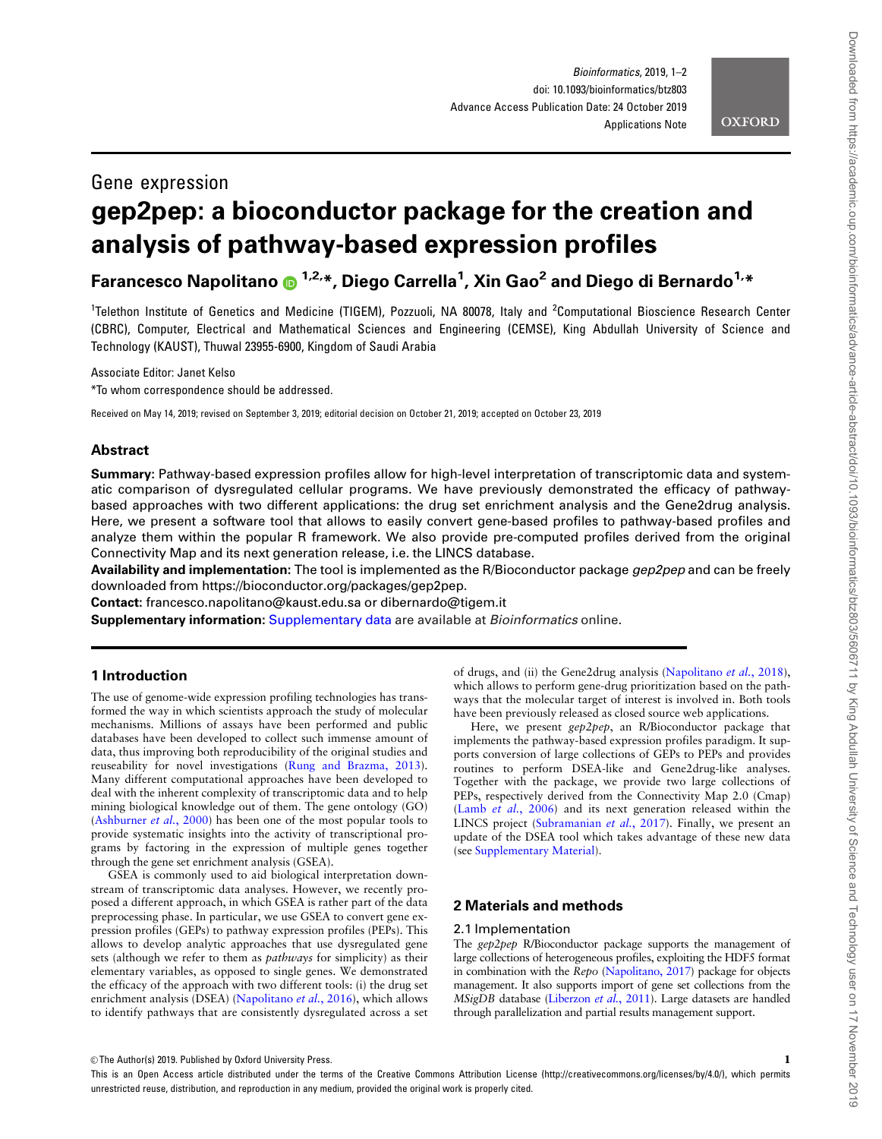

# Gene expression

# gep2pep: a bioconductor package for the creation and analysis of pathway-based expression profiles

# Farancesco Napolitano @ <sup>1,2,</sup>\*, Diego Carrella<sup>1</sup>, Xin Gao<sup>2</sup> and Diego di Bernardo<sup>1,</sup>\*

<sup>1</sup>Telethon Institute of Genetics and Medicine (TIGEM), Pozzuoli, NA 80078, Italy and <sup>2</sup>Computational Bioscience Research Center (CBRC), Computer, Electrical and Mathematical Sciences and Engineering (CEMSE), King Abdullah University of Science and Technology (KAUST), Thuwal 23955-6900, Kingdom of Saudi Arabia

Associate Editor: Janet Kelso

\*To whom correspondence should be addressed.

Received on May 14, 2019; revised on September 3, 2019; editorial decision on October 21, 2019; accepted on October 23, 2019

# Abstract

Summary: Pathway-based expression profiles allow for high-level interpretation of transcriptomic data and systematic comparison of dysregulated cellular programs. We have previously demonstrated the efficacy of pathwaybased approaches with two different applications: the drug set enrichment analysis and the Gene2drug analysis. Here, we present a software tool that allows to easily convert gene-based profiles to pathway-based profiles and analyze them within the popular R framework. We also provide pre-computed profiles derived from the original Connectivity Map and its next generation release, i.e. the LINCS database.

Availability and implementation: The tool is implemented as the R/Bioconductor package gep2pep and can be freely downloaded from<https://bioconductor.org/packages/gep2pep>.

Contact: francesco.napolitano@kaust.edu.sa or dibernardo@tigem.it

Supplementary information: [Supplementary data](https://academic.oup.com/bioinformatics/article-lookup/doi/10.1093/bioinformatics/btz803#supplementary-data) are available at Bioinformatics online.

# 1 Introduction

The use of genome-wide expression profiling technologies has transformed the way in which scientists approach the study of molecular mechanisms. Millions of assays have been performed and public databases have been developed to collect such immense amount of data, thus improving both reproducibility of the original studies and reuseability for novel investigations [\(Rung and Brazma, 2013](#page-1-0)). Many different computational approaches have been developed to deal with the inherent complexity of transcriptomic data and to help mining biological knowledge out of them. The gene ontology (GO) ([Ashburner](#page-1-0) et al., 2000) has been one of the most popular tools to provide systematic insights into the activity of transcriptional programs by factoring in the expression of multiple genes together through the gene set enrichment analysis (GSEA).

GSEA is commonly used to aid biological interpretation downstream of transcriptomic data analyses. However, we recently proposed a different approach, in which GSEA is rather part of the data preprocessing phase. In particular, we use GSEA to convert gene expression profiles (GEPs) to pathway expression profiles (PEPs). This allows to develop analytic approaches that use dysregulated gene sets (although we refer to them as pathways for simplicity) as their elementary variables, as opposed to single genes. We demonstrated the efficacy of the approach with two different tools: (i) the drug set enrichment analysis (DSEA) [\(Napolitano](#page-1-0) et al., 2016), which allows to identify pathways that are consistently dysregulated across a set

of drugs, and (ii) the Gene2drug analysis ([Napolitano](#page-1-0) et al., 2018), which allows to perform gene-drug prioritization based on the pathways that the molecular target of interest is involved in. Both tools have been previously released as closed source web applications.

Here, we present gep2pep, an R/Bioconductor package that implements the pathway-based expression profiles paradigm. It supports conversion of large collections of GEPs to PEPs and provides routines to perform DSEA-like and Gene2drug-like analyses. Together with the package, we provide two large collections of PEPs, respectively derived from the Connectivity Map 2.0 (Cmap) (Lamb et al.[, 2006\)](#page-1-0) and its next generation released within the LINCS project [\(Subramanian](#page-1-0) et al., 2017). Finally, we present an update of the DSEA tool which takes advantage of these new data (see [Supplementary Material](https://academic.oup.com/bioinformatics/article-lookup/doi/10.1093/bioinformatics/btz803#supplementary-data)).

### 2 Materials and methods

#### 2.1 Implementation

The gep2pep R/Bioconductor package supports the management of large collections of heterogeneous profiles, exploiting the HDF5 format in combination with the Repo [\(Napolitano, 2017\)](#page-1-0) package for objects management. It also supports import of gene set collections from the MSigDB database [\(Liberzon](#page-1-0) et al., 2011). Large datasets are handled through parallelization and partial results management support.

 $\heartsuit$  The Author(s) 2019. Published by Oxford University Press. 1

This is an Open Access article distributed under the terms of the Creative Commons Attribution License (http://creativecommons.org/licenses/by/4.0/), which permits unrestricted reuse, distribution, and reproduction in any medium, provided the original work is properly cited.